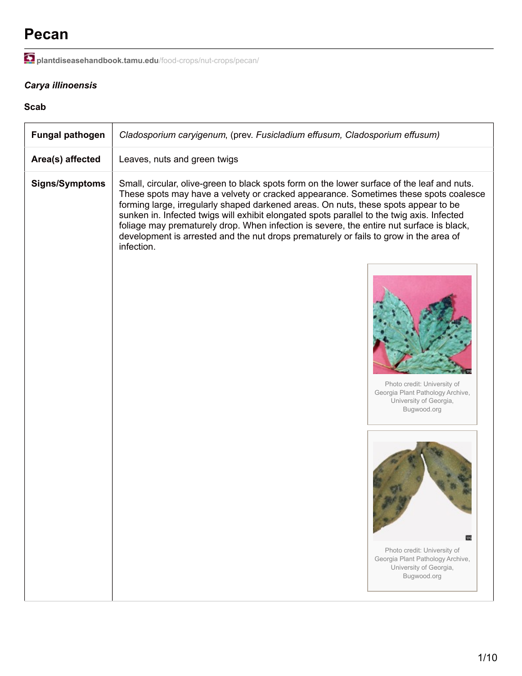# **Pecan**

**[plantdiseasehandbook.tamu.edu](http://plantdiseasehandbook.tamu.edu/food-crops/nut-crops/pecan/)**/food-crops/nut-crops/pecan/

# *Carya illinoensis*

### **Scab**

| <b>Fungal pathogen</b> | Cladosporium caryigenum, (prev. Fusicladium effusum, Cladosporium effusum)                                                                                                                                                                                                                                                                                                                                                                                                                                                                                                  |
|------------------------|-----------------------------------------------------------------------------------------------------------------------------------------------------------------------------------------------------------------------------------------------------------------------------------------------------------------------------------------------------------------------------------------------------------------------------------------------------------------------------------------------------------------------------------------------------------------------------|
| Area(s) affected       | Leaves, nuts and green twigs                                                                                                                                                                                                                                                                                                                                                                                                                                                                                                                                                |
| <b>Signs/Symptoms</b>  | Small, circular, olive-green to black spots form on the lower surface of the leaf and nuts.<br>These spots may have a velvety or cracked appearance. Sometimes these spots coalesce<br>forming large, irregularly shaped darkened areas. On nuts, these spots appear to be<br>sunken in. Infected twigs will exhibit elongated spots parallel to the twig axis. Infected<br>foliage may prematurely drop. When infection is severe, the entire nut surface is black,<br>development is arrested and the nut drops prematurely or fails to grow in the area of<br>infection. |
|                        | Photo credit: University of<br>Georgia Plant Pathology Archive,<br>University of Georgia,<br>Bugwood.org                                                                                                                                                                                                                                                                                                                                                                                                                                                                    |
|                        | UG<br>Photo credit: University of<br>Georgia Plant Pathology Archive,<br>University of Georgia,<br>Bugwood.org                                                                                                                                                                                                                                                                                                                                                                                                                                                              |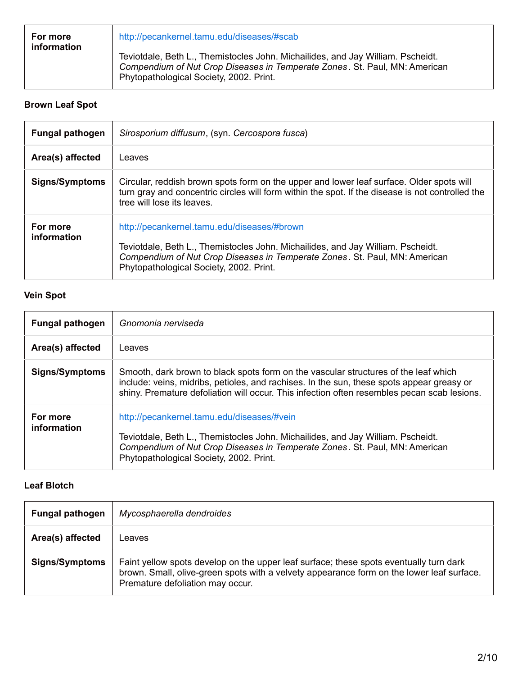| For more<br>information | http://pecankernel.tamu.edu/diseases/#scab                                                                                                                                                               |
|-------------------------|----------------------------------------------------------------------------------------------------------------------------------------------------------------------------------------------------------|
|                         | Teviotdale, Beth L., Themistocles John. Michailides, and Jay William. Pscheidt.<br>Compendium of Nut Crop Diseases in Temperate Zones. St. Paul, MN: American<br>Phytopathological Society, 2002. Print. |

# **Brown Leaf Spot**

| <b>Fungal pathogen</b>  | Sirosporium diffusum, (syn. Cercospora fusca)                                                                                                                                                                                                           |
|-------------------------|---------------------------------------------------------------------------------------------------------------------------------------------------------------------------------------------------------------------------------------------------------|
| Area(s) affected        | Leaves                                                                                                                                                                                                                                                  |
| <b>Signs/Symptoms</b>   | Circular, reddish brown spots form on the upper and lower leaf surface. Older spots will<br>turn gray and concentric circles will form within the spot. If the disease is not controlled the<br>tree will lose its leaves.                              |
| For more<br>information | http://pecankernel.tamu.edu/diseases/#brown<br>Teviotdale, Beth L., Themistocles John. Michailides, and Jay William. Pscheidt.<br>Compendium of Nut Crop Diseases in Temperate Zones. St. Paul, MN: American<br>Phytopathological Society, 2002. Print. |

### **Vein Spot**

| <b>Fungal pathogen</b>  | Gnomonia nerviseda                                                                                                                                                                                                                                                              |
|-------------------------|---------------------------------------------------------------------------------------------------------------------------------------------------------------------------------------------------------------------------------------------------------------------------------|
| Area(s) affected        | Leaves                                                                                                                                                                                                                                                                          |
| <b>Signs/Symptoms</b>   | Smooth, dark brown to black spots form on the vascular structures of the leaf which<br>include: veins, midribs, petioles, and rachises. In the sun, these spots appear greasy or<br>shiny. Premature defoliation will occur. This infection often resembles pecan scab lesions. |
| For more<br>information | http://pecankernel.tamu.edu/diseases/#vein<br>Teviotdale, Beth L., Themistocles John. Michailides, and Jay William. Pscheidt.<br>Compendium of Nut Crop Diseases in Temperate Zones. St. Paul, MN: American<br>Phytopathological Society, 2002. Print.                          |

### **Leaf Blotch**

| <b>Fungal pathogen</b> | Mycosphaerella dendroides                                                                                                                                                                                               |
|------------------------|-------------------------------------------------------------------------------------------------------------------------------------------------------------------------------------------------------------------------|
| Area(s) affected       | _eaves                                                                                                                                                                                                                  |
| <b>Signs/Symptoms</b>  | Faint yellow spots develop on the upper leaf surface; these spots eventually turn dark<br>brown. Small, olive-green spots with a velvety appearance form on the lower leaf surface.<br>Premature defoliation may occur. |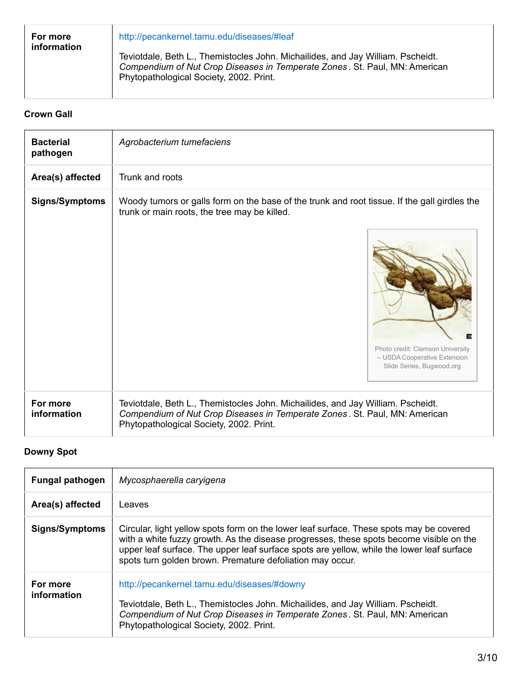| For more<br>information | http://pecankernel.tamu.edu/diseases/#leaf                                                                                                                                                               |
|-------------------------|----------------------------------------------------------------------------------------------------------------------------------------------------------------------------------------------------------|
|                         | Teviotdale, Beth L., Themistocles John. Michailides, and Jay William. Pscheidt.<br>Compendium of Nut Crop Diseases in Temperate Zones. St. Paul, MN: American<br>Phytopathological Society, 2002. Print. |

### **Crown Gall**

| <b>Bacterial</b><br>pathogen | Agrobacterium tumefaciens                                                                                                                                                                                                                     |
|------------------------------|-----------------------------------------------------------------------------------------------------------------------------------------------------------------------------------------------------------------------------------------------|
| Area(s) affected             | Trunk and roots                                                                                                                                                                                                                               |
| <b>Signs/Symptoms</b>        | Woody tumors or galls form on the base of the trunk and root tissue. If the gall girdles the<br>trunk or main roots, the tree may be killed.<br>Photo credit: Clemson University<br>- USDA Cooperative Extension<br>Slide Series, Bugwood.org |
| For more<br>information      | Teviotdale, Beth L., Themistocles John. Michailides, and Jay William. Pscheidt.<br>Compendium of Nut Crop Diseases in Temperate Zones. St. Paul, MN: American<br>Phytopathological Society, 2002. Print.                                      |

# **Downy Spot**

| <b>Fungal pathogen</b>  | Mycosphaerella caryigena                                                                                                                                                                                                                                                                                                                     |
|-------------------------|----------------------------------------------------------------------------------------------------------------------------------------------------------------------------------------------------------------------------------------------------------------------------------------------------------------------------------------------|
| Area(s) affected        | Leaves                                                                                                                                                                                                                                                                                                                                       |
| <b>Signs/Symptoms</b>   | Circular, light yellow spots form on the lower leaf surface. These spots may be covered<br>with a white fuzzy growth. As the disease progresses, these spots become visible on the<br>upper leaf surface. The upper leaf surface spots are yellow, while the lower leaf surface<br>spots turn golden brown. Premature defoliation may occur. |
| For more<br>information | http://pecankernel.tamu.edu/diseases/#downy<br>Teviotdale, Beth L., Themistocles John. Michailides, and Jay William. Pscheidt.<br>Compendium of Nut Crop Diseases in Temperate Zones. St. Paul, MN: American<br>Phytopathological Society, 2002. Print.                                                                                      |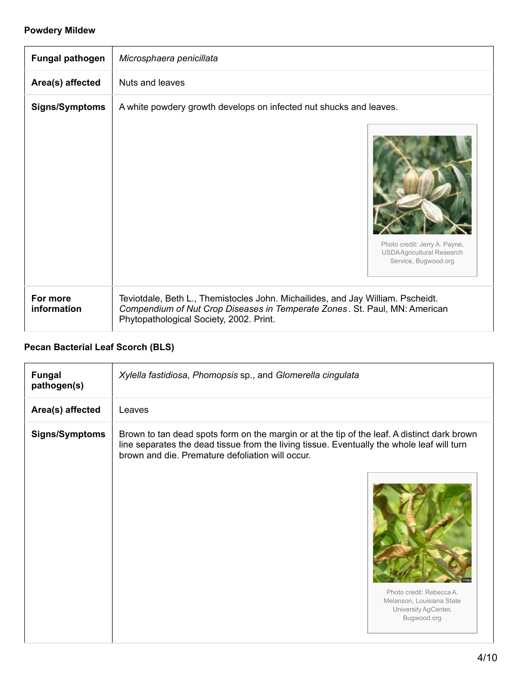### **Powdery Mildew**

| <b>Fungal pathogen</b>  | Microsphaera penicillata                                                                                                                                                                                 |
|-------------------------|----------------------------------------------------------------------------------------------------------------------------------------------------------------------------------------------------------|
| Area(s) affected        | Nuts and leaves                                                                                                                                                                                          |
| <b>Signs/Symptoms</b>   | A white powdery growth develops on infected nut shucks and leaves.<br>Photo credit: Jerry A. Payne,<br><b>USDAAgricultural Research</b><br>Service, Bugwood.org                                          |
| For more<br>information | Teviotdale, Beth L., Themistocles John. Michailides, and Jay William. Pscheidt.<br>Compendium of Nut Crop Diseases in Temperate Zones. St. Paul, MN: American<br>Phytopathological Society, 2002. Print. |

# **Pecan Bacterial Leaf Scorch (BLS)**

| <b>Fungal</b><br>pathogen(s) | Xylella fastidiosa, Phomopsis sp., and Glomerella cingulata                                                                                                                                                                                                               |
|------------------------------|---------------------------------------------------------------------------------------------------------------------------------------------------------------------------------------------------------------------------------------------------------------------------|
| Area(s) affected             | Leaves                                                                                                                                                                                                                                                                    |
| <b>Signs/Symptoms</b>        | Brown to tan dead spots form on the margin or at the tip of the leaf. A distinct dark brown<br>line separates the dead tissue from the living tissue. Eventually the whole leaf will turn<br>brown and die. Premature defoliation will occur.<br>Photo credit: Rebecca A. |
|                              | Melanson, Louisiana State<br>University AgCenter,<br>Bugwood.org                                                                                                                                                                                                          |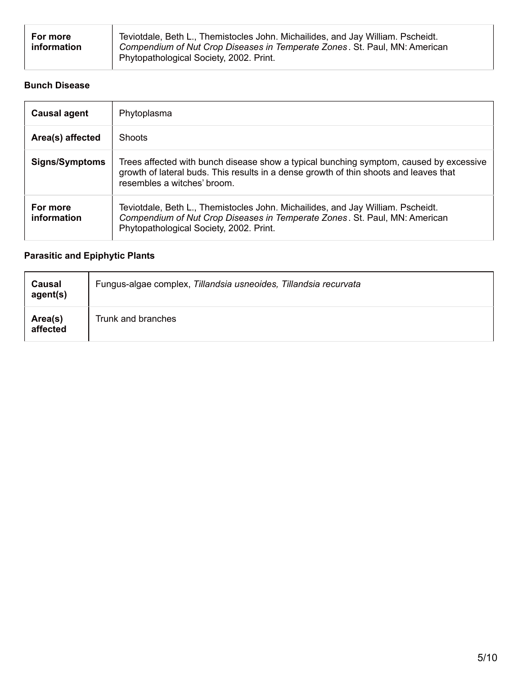| For more<br><b>information</b> | Teviotdale, Beth L., Themistocles John. Michailides, and Jay William. Pscheidt.<br>Compendium of Nut Crop Diseases in Temperate Zones. St. Paul, MN: American<br>Phytopathological Society, 2002. Print. |
|--------------------------------|----------------------------------------------------------------------------------------------------------------------------------------------------------------------------------------------------------|
|--------------------------------|----------------------------------------------------------------------------------------------------------------------------------------------------------------------------------------------------------|

### **Bunch Disease**

| <b>Causal agent</b>     | Phytoplasma                                                                                                                                                                                                    |
|-------------------------|----------------------------------------------------------------------------------------------------------------------------------------------------------------------------------------------------------------|
| Area(s) affected        | <b>Shoots</b>                                                                                                                                                                                                  |
| <b>Signs/Symptoms</b>   | Trees affected with bunch disease show a typical bunching symptom, caused by excessive<br>growth of lateral buds. This results in a dense growth of thin shoots and leaves that<br>resembles a witches' broom. |
| For more<br>information | Teviotdale, Beth L., Themistocles John. Michailides, and Jay William. Pscheidt.<br>Compendium of Nut Crop Diseases in Temperate Zones. St. Paul, MN: American<br>Phytopathological Society, 2002. Print.       |

# **Parasitic and Epiphytic Plants**

| Causal<br>agent(s)  | Fungus-algae complex, Tillandsia usneoides, Tillandsia recurvata |
|---------------------|------------------------------------------------------------------|
| Area(s)<br>affected | Trunk and branches                                               |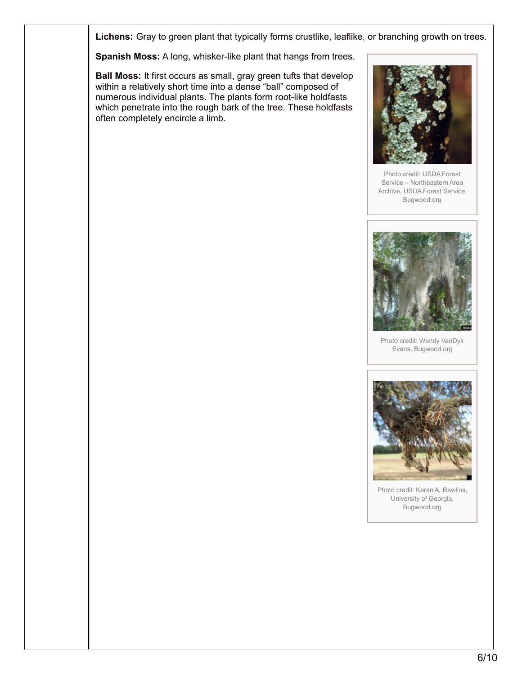**Lichens:** Gray to green plant that typically forms crustlike, leaflike, or branching growth on trees.

**Spanish Moss:** A long, whisker-like plant that hangs from trees.

**Ball Moss:** It first occurs as small, gray green tufts that develop within a relatively short time into a dense "ball" composed of numerous individual plants. The plants form root-like holdfasts which penetrate into the rough bark of the tree. These holdfasts often completely encircle a limb.



Photo credit: USDA Forest Service – Northeastern Area Archive, USDA Forest Service, Bugwood.org



Photo credit: Wendy VanDyk Evans, Bugwood.org



Photo credit: Karan A. Rawlins, University of Georgia, Bugwood.org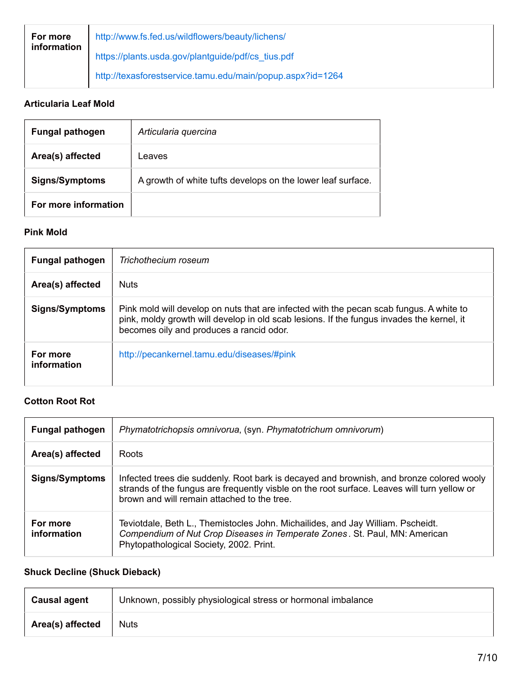| For more<br>information | http://www.fs.fed.us/wildflowers/beauty/lichens/           |
|-------------------------|------------------------------------------------------------|
|                         | https://plants.usda.gov/plantguide/pdf/cs_tius.pdf         |
|                         | http://texasforestservice.tamu.edu/main/popup.aspx?id=1264 |

# **Articularia Leaf Mold**

| <b>Fungal pathogen</b> | Articularia quercina                                        |
|------------------------|-------------------------------------------------------------|
| Area(s) affected       | Leaves                                                      |
| <b>Signs/Symptoms</b>  | A growth of white tufts develops on the lower leaf surface. |
| For more information   |                                                             |

### **Pink Mold**

| <b>Fungal pathogen</b>  | Trichothecium roseum                                                                                                                                                                                                             |
|-------------------------|----------------------------------------------------------------------------------------------------------------------------------------------------------------------------------------------------------------------------------|
| Area(s) affected        | <b>Nuts</b>                                                                                                                                                                                                                      |
| <b>Signs/Symptoms</b>   | Pink mold will develop on nuts that are infected with the pecan scab fungus. A white to<br>pink, moldy growth will develop in old scab lesions. If the fungus invades the kernel, it<br>becomes oily and produces a rancid odor. |
| For more<br>information | http://pecankernel.tamu.edu/diseases/#pink                                                                                                                                                                                       |

#### **Cotton Root Rot**

| <b>Fungal pathogen</b>  | Phymatotrichopsis omnivorua, (syn. Phymatotrichum omnivorum)                                                                                                                                                                           |
|-------------------------|----------------------------------------------------------------------------------------------------------------------------------------------------------------------------------------------------------------------------------------|
| Area(s) affected        | Roots                                                                                                                                                                                                                                  |
| <b>Signs/Symptoms</b>   | Infected trees die suddenly. Root bark is decayed and brownish, and bronze colored wooly<br>strands of the fungus are frequently visble on the root surface. Leaves will turn yellow or<br>brown and will remain attached to the tree. |
| For more<br>information | Teviotdale, Beth L., Themistocles John. Michailides, and Jay William. Pscheidt.<br>Compendium of Nut Crop Diseases in Temperate Zones. St. Paul, MN: American<br>Phytopathological Society, 2002. Print.                               |

# **Shuck Decline (Shuck Dieback)**

| Causal agent     | Unknown, possibly physiological stress or hormonal imbalance |
|------------------|--------------------------------------------------------------|
| Area(s) affected | <b>Nuts</b>                                                  |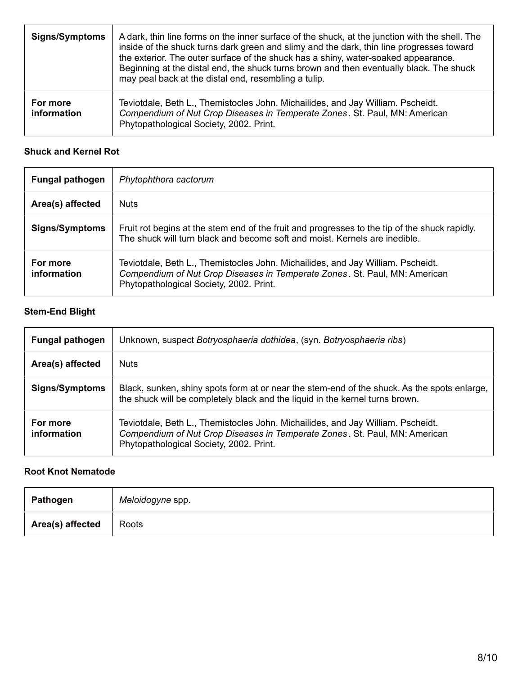| <b>Signs/Symptoms</b>   | A dark, thin line forms on the inner surface of the shuck, at the junction with the shell. The<br>inside of the shuck turns dark green and slimy and the dark, thin line progresses toward<br>the exterior. The outer surface of the shuck has a shiny, water-soaked appearance.<br>Beginning at the distal end, the shuck turns brown and then eventually black. The shuck<br>may peal back at the distal end, resembling a tulip. |
|-------------------------|-------------------------------------------------------------------------------------------------------------------------------------------------------------------------------------------------------------------------------------------------------------------------------------------------------------------------------------------------------------------------------------------------------------------------------------|
| For more<br>information | Teviotdale, Beth L., Themistocles John. Michailides, and Jay William. Pscheidt.<br>Compendium of Nut Crop Diseases in Temperate Zones. St. Paul, MN: American<br>Phytopathological Society, 2002. Print.                                                                                                                                                                                                                            |

### **Shuck and Kernel Rot**

| <b>Fungal pathogen</b>  | Phytophthora cactorum                                                                                                                                                                                    |
|-------------------------|----------------------------------------------------------------------------------------------------------------------------------------------------------------------------------------------------------|
| Area(s) affected        | <b>Nuts</b>                                                                                                                                                                                              |
| <b>Signs/Symptoms</b>   | Fruit rot begins at the stem end of the fruit and progresses to the tip of the shuck rapidly.<br>The shuck will turn black and become soft and moist. Kernels are inedible.                              |
| For more<br>information | Teviotdale, Beth L., Themistocles John. Michailides, and Jay William. Pscheidt.<br>Compendium of Nut Crop Diseases in Temperate Zones. St. Paul, MN: American<br>Phytopathological Society, 2002. Print. |

# **Stem-End Blight**

| <b>Fungal pathogen</b>  | Unknown, suspect Botryosphaeria dothidea, (syn. Botryosphaeria ribs)                                                                                                                                     |
|-------------------------|----------------------------------------------------------------------------------------------------------------------------------------------------------------------------------------------------------|
| Area(s) affected        | <b>Nuts</b>                                                                                                                                                                                              |
| <b>Signs/Symptoms</b>   | Black, sunken, shiny spots form at or near the stem-end of the shuck. As the spots enlarge,<br>the shuck will be completely black and the liquid in the kernel turns brown.                              |
| For more<br>information | Teviotdale, Beth L., Themistocles John. Michailides, and Jay William. Pscheidt.<br>Compendium of Nut Crop Diseases in Temperate Zones. St. Paul, MN: American<br>Phytopathological Society, 2002. Print. |

### **Root Knot Nematode**

| Pathogen         | Meloidogyne spp. |
|------------------|------------------|
| Area(s) affected | Roots            |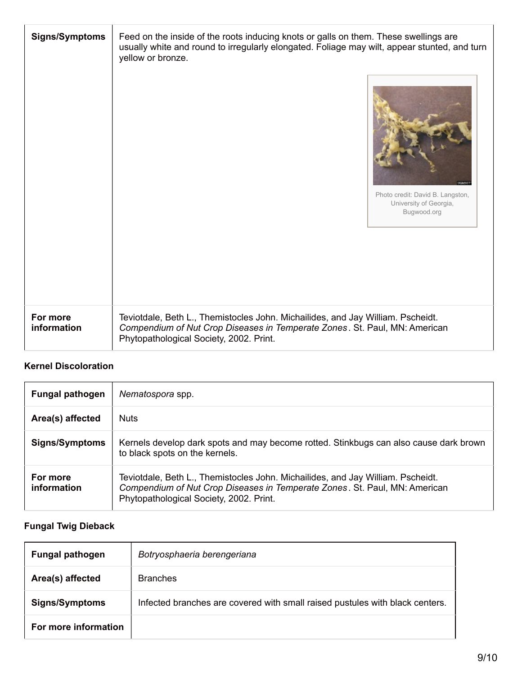| <b>Signs/Symptoms</b>   | Feed on the inside of the roots inducing knots or galls on them. These swellings are<br>usually white and round to irregularly elongated. Foliage may wilt, appear stunted, and turn<br>yellow or bronze.<br>1328.50<br>Photo credit: David B. Langston,<br>University of Georgia,<br>Bugwood.org |
|-------------------------|---------------------------------------------------------------------------------------------------------------------------------------------------------------------------------------------------------------------------------------------------------------------------------------------------|
| For more<br>information | Teviotdale, Beth L., Themistocles John. Michailides, and Jay William. Pscheidt.<br>Compendium of Nut Crop Diseases in Temperate Zones. St. Paul, MN: American<br>Phytopathological Society, 2002. Print.                                                                                          |

# **Kernel Discoloration**

| <b>Fungal pathogen</b>  | Nematospora spp.                                                                                                                                                                                         |
|-------------------------|----------------------------------------------------------------------------------------------------------------------------------------------------------------------------------------------------------|
| Area(s) affected        | <b>Nuts</b>                                                                                                                                                                                              |
| <b>Signs/Symptoms</b>   | Kernels develop dark spots and may become rotted. Stinkbugs can also cause dark brown<br>to black spots on the kernels.                                                                                  |
| For more<br>information | Teviotdale, Beth L., Themistocles John. Michailides, and Jay William. Pscheidt.<br>Compendium of Nut Crop Diseases in Temperate Zones. St. Paul, MN: American<br>Phytopathological Society, 2002. Print. |

# **Fungal Twig Dieback**

| <b>Fungal pathogen</b> | Botryosphaeria berengeriana                                                  |
|------------------------|------------------------------------------------------------------------------|
| Area(s) affected       | <b>Branches</b>                                                              |
| <b>Signs/Symptoms</b>  | Infected branches are covered with small raised pustules with black centers. |
| For more information   |                                                                              |